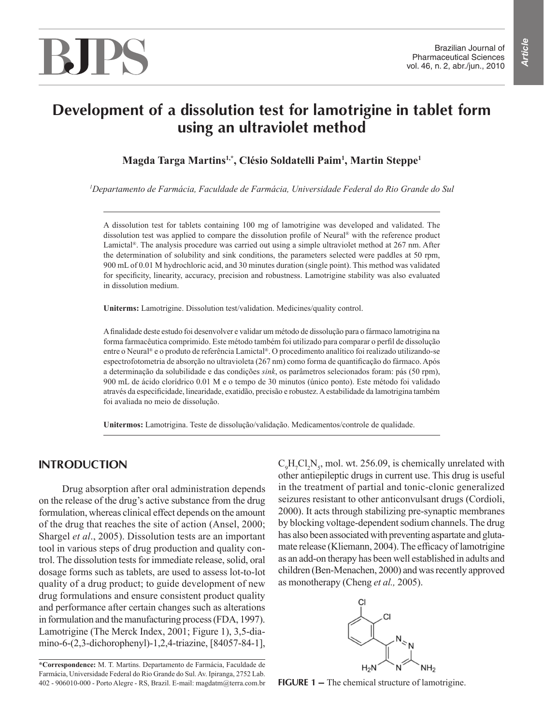# BJPS

## **Development of a dissolution test for lamotrigine in tablet form using an ultraviolet method**

**Magda Targa Martins1,\*, Clésio Soldatelli Paim1 , Martin Steppe1**

*1 Departamento de Farmácia, Faculdade de Farmácia, Universidade Federal do Rio Grande do Sul*

A dissolution test for tablets containing 100 mg of lamotrigine was developed and validated. The dissolution test was applied to compare the dissolution profile of Neural® with the reference product Lamictal®. The analysis procedure was carried out using a simple ultraviolet method at 267 nm. After the determination of solubility and sink conditions, the parameters selected were paddles at 50 rpm, 900 mL of 0.01 M hydrochloric acid, and 30 minutes duration (single point). This method was validated for specificity, linearity, accuracy, precision and robustness. Lamotrigine stability was also evaluated in dissolution medium.

**Uniterms:** Lamotrigine. Dissolution test/validation. Medicines/quality control.

A finalidade deste estudo foi desenvolver e validar um método de dissolução para o fármaco lamotrigina na forma farmacêutica comprimido. Este método também foi utilizado para comparar o perfil de dissolução entre o Neural® e o produto de referência Lamictal®. O procedimento analítico foi realizado utilizando-se espectrofotometria de absorção no ultravioleta (267 nm) como forma de quantificação do fármaco. Após a determinação da solubilidade e das condições *sink*, os parâmetros selecionados foram: pás (50 rpm), 900 mL de ácido clorídrico 0.01 M e o tempo de 30 minutos (único ponto). Este método foi validado através da especificidade, linearidade, exatidão, precisão e robustez. A estabilidade da lamotrigina também foi avaliada no meio de dissolução.

**Unitermos:** Lamotrigina. Teste de dissolução/validação. Medicamentos/controle de qualidade.

## **INTRODUCTION**

Drug absorption after oral administration depends on the release of the drug's active substance from the drug formulation, whereas clinical effect depends on the amount of the drug that reaches the site of action (Ansel, 2000; Shargel *et al*., 2005). Dissolution tests are an important tool in various steps of drug production and quality control. The dissolution tests for immediate release, solid, oral dosage forms such as tablets, are used to assess lot-to-lot quality of a drug product; to guide development of new drug formulations and ensure consistent product quality and performance after certain changes such as alterations in formulation and the manufacturing process (FDA, 1997). Lamotrigine (The Merck Index, 2001; Figure 1), 3,5-diamino-6-(2,3-dichorophenyl)-1,2,4-triazine, [84057-84-1],

**\*Correspondence:** M. T. Martins. Departamento de Farmácia, Faculdade de Farmácia, Universidade Federal do Rio Grande do Sul. Av. Ipiranga, 2752 Lab. 402 - 906010-000 - Porto Alegre - RS, Brazil. E-mail: magdatm@terra.com.br

 $C_9H_7Cl_2N_5$ , mol. wt. 256.09, is chemically unrelated with other antiepileptic drugs in current use. This drug is useful in the treatment of partial and tonic-clonic generalized seizures resistant to other anticonvulsant drugs (Cordioli, 2000). It acts through stabilizing pre-synaptic membranes by blocking voltage-dependent sodium channels. The drug has also been associated with preventing aspartate and glutamate release (Kliemann, 2004). The efficacy of lamotrigine as an add-on therapy has been well established in adults and children (Ben-Menachen, 2000) and was recently approved as monotherapy (Cheng *et al.,* 2005).



**FIGURE 1 –** The chemical structure of lamotrigine.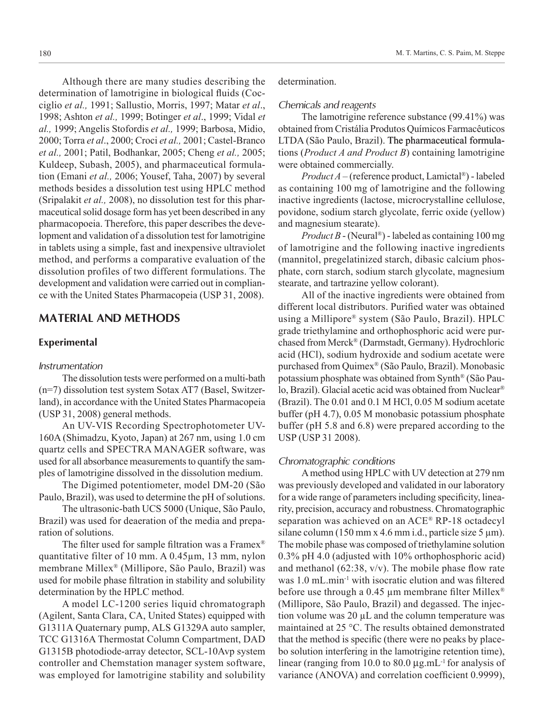Although there are many studies describing the determination of lamotrigine in biological fluids (Cocciglio *et al.,* 1991; Sallustio, Morris, 1997; Matar *et al*., 1998; Ashton *et al.,* 1999; Botinger *et al*., 1999; Vidal *et al.,* 1999; Angelis Stofordis *et al.,* 1999; Barbosa, Midio, 2000; Torra *et al*., 2000; Croci *et al.,* 2001; Castel-Branco *et al.,* 2001; Patil, Bodhankar, 2005; Cheng *et al.,* 2005; Kuldeep, Subash, 2005), and pharmaceutical formulation (Emani *et al.,* 2006; Yousef, Taha, 2007) by several methods besides a dissolution test using HPLC method (Sripalakit *et al.,* 2008), no dissolution test for this pharmaceutical solid dosage form has yet been described in any pharmacopoeia. Therefore, this paper describes the development and validation of a dissolution test for lamotrigine in tablets using a simple, fast and inexpensive ultraviolet method, and performs a comparative evaluation of the dissolution profiles of two different formulations. The development and validation were carried out in compliance with the United States Pharmacopeia (USP 31, 2008).

## **MATERIAL AND METHODS**

#### **Experimental**

#### *Instrumentation*

The dissolution tests were performed on a multi-bath (n=7) dissolution test system Sotax AT7 (Basel, Switzerland), in accordance with the United States Pharmacopeia (USP 31, 2008) general methods.

An UV-VIS Recording Spectrophotometer UV-160A (Shimadzu, Kyoto, Japan) at 267 nm, using 1.0 cm quartz cells and SPECTRA MANAGER software, was used for all absorbance measurements to quantify the samples of lamotrigine dissolved in the dissolution medium.

The Digimed potentiometer, model DM-20 (São Paulo, Brazil), was used to determine the pH of solutions.

The ultrasonic-bath UCS 5000 (Unique, São Paulo, Brazil) was used for deaeration of the media and preparation of solutions.

The filter used for sample filtration was a Framex<sup>®</sup> quantitative filter of 10 mm. A 0.45µm, 13 mm, nylon membrane Millex® (Millipore, São Paulo, Brazil) was used for mobile phase filtration in stability and solubility determination by the HPLC method.

A model LC-1200 series liquid chromatograph (Agilent, Santa Clara, CA, United States) equipped with G1311A Quaternary pump, ALS G1329A auto sampler, TCC G1316A Thermostat Column Compartment, DAD G1315B photodiode-array detector, SCL-10Avp system controller and Chemstation manager system software, was employed for lamotrigine stability and solubility determination.

#### *Chemicals and reagents*

The lamotrigine reference substance (99.41%) was obtained from Cristália Produtos Químicos Farmacêuticos LTDA (São Paulo, Brazil). The pharmaceutical formulations (*Product A and Product B*) containing lamotrigine were obtained commercially.

*Product A* – (reference product, Lamictal®) - labeled as containing 100 mg of lamotrigine and the following inactive ingredients (lactose, microcrystalline cellulose, povidone, sodium starch glycolate, ferric oxide (yellow) and magnesium stearate).

*Product B* - (Neural®) - labeled as containing 100 mg of lamotrigine and the following inactive ingredients (mannitol, pregelatinized starch, dibasic calcium phosphate, corn starch, sodium starch glycolate, magnesium stearate, and tartrazine yellow colorant).

All of the inactive ingredients were obtained from different local distributors. Purified water was obtained using a Millipore® system (São Paulo, Brazil). HPLC grade triethylamine and orthophosphoric acid were purchased from Merck® (Darmstadt, Germany). Hydrochloric acid (HCl), sodium hydroxide and sodium acetate were purchased from Quimex® (São Paulo, Brazil). Monobasic potassium phosphate was obtained from Synth® (São Paulo, Brazil). Glacial acetic acid was obtained from Nuclear® (Brazil). The 0.01 and 0.1 M HCl, 0.05 M sodium acetate buffer (pH 4.7), 0.05 M monobasic potassium phosphate buffer (pH 5.8 and 6.8) were prepared according to the USP (USP 31 2008).

#### *Chromatographic conditions*

A method using HPLC with UV detection at 279 nm was previously developed and validated in our laboratory for a wide range of parameters including specificity, linearity, precision, accuracy and robustness. Chromatographic separation was achieved on an ACE® RP-18 octadecyl silane column (150 mm x 4.6 mm i.d., particle size 5  $\mu$ m). The mobile phase was composed of triethylamine solution 0.3% pH 4.0 (adjusted with 10% orthophosphoric acid) and methanol (62:38,  $v/v$ ). The mobile phase flow rate was 1.0 mL.min<sup>-1</sup> with isocratic elution and was filtered before use through a 0.45  $\mu$ m membrane filter Millex<sup>®</sup> (Millipore, São Paulo, Brazil) and degassed. The injection volume was  $20 \mu L$  and the column temperature was maintained at 25 °C. The results obtained demonstrated that the method is specific (there were no peaks by placebo solution interfering in the lamotrigine retention time), linear (ranging from 10.0 to  $80.0 \,\mu g$ .mL<sup>-1</sup> for analysis of variance (ANOVA) and correlation coefficient 0.9999),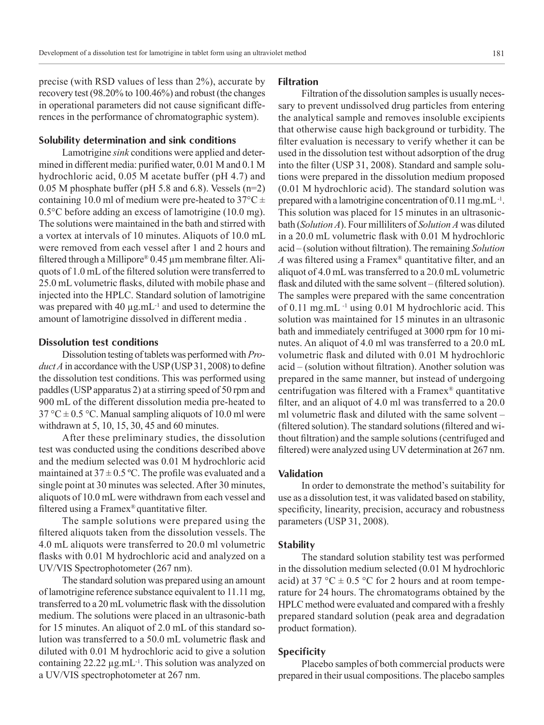precise (with RSD values of less than 2%), accurate by recovery test (98.20% to 100.46%) and robust (the changes in operational parameters did not cause significant differences in the performance of chromatographic system).

### **Solubility determination and sink conditions**

Lamotrigine *sink* conditions were applied and determined in different media: purified water, 0.01 M and 0.1 M hydrochloric acid, 0.05 M acetate buffer (pH 4.7) and 0.05 M phosphate buffer (pH 5.8 and 6.8). Vessels (n=2) containing 10.0 ml of medium were pre-heated to  $37^{\circ}$ C ± 0.5°C before adding an excess of lamotrigine (10.0 mg). The solutions were maintained in the bath and stirred with a vortex at intervals of 10 minutes. Aliquots of 10.0 mL were removed from each vessel after 1 and 2 hours and filtered through a Millipore®  $0.45 \mu$ m membrane filter. Aliquots of 1.0 mL of the filtered solution were transferred to 25.0 mL volumetric flasks, diluted with mobile phase and injected into the HPLC. Standard solution of lamotrigine was prepared with 40  $\mu$ g.mL<sup>-1</sup> and used to determine the amount of lamotrigine dissolved in different media .

#### **Dissolution test conditions**

Dissolution testing of tablets was performed with *Product A* in accordance with the USP (USP 31, 2008) to define the dissolution test conditions. This was performed using paddles (USP apparatus 2) at a stirring speed of 50 rpm and 900 mL of the different dissolution media pre-heated to  $37 \text{ °C} \pm 0.5 \text{ °C}$ . Manual sampling aliquots of 10.0 ml were withdrawn at 5, 10, 15, 30, 45 and 60 minutes.

After these preliminary studies, the dissolution test was conducted using the conditions described above and the medium selected was 0.01 M hydrochloric acid maintained at  $37 \pm 0.5$  °C. The profile was evaluated and a single point at 30 minutes was selected. After 30 minutes, aliquots of 10.0 mL were withdrawn from each vessel and filtered using a Framex® quantitative filter.

The sample solutions were prepared using the filtered aliquots taken from the dissolution vessels. The 4.0 mL aliquots were transferred to 20.0 ml volumetric flasks with 0.01 M hydrochloric acid and analyzed on a UV/VIS Spectrophotometer (267 nm).

The standard solution was prepared using an amount of lamotrigine reference substance equivalent to 11.11 mg, transferred to a 20 mL volumetric flask with the dissolution medium. The solutions were placed in an ultrasonic-bath for 15 minutes. An aliquot of 2.0 mL of this standard solution was transferred to a 50.0 mL volumetric flask and diluted with 0.01 M hydrochloric acid to give a solution containing  $22.22 \mu g.mL^{-1}$ . This solution was analyzed on a UV/VIS spectrophotometer at 267 nm.

## **Filtration**

Filtration of the dissolution samples is usually necessary to prevent undissolved drug particles from entering the analytical sample and removes insoluble excipients that otherwise cause high background or turbidity. The filter evaluation is necessary to verify whether it can be used in the dissolution test without adsorption of the drug into the filter (USP 31, 2008). Standard and sample solutions were prepared in the dissolution medium proposed (0.01 M hydrochloric acid). The standard solution was prepared with a lamotrigine concentration of 0.11 mg.mL<sup>-1</sup>. This solution was placed for 15 minutes in an ultrasonicbath (*Solution A*). Four milliliters of *Solution A* was diluted in a 20.0 mL volumetric flask with 0.01 M hydrochloric acid – (solution without filtration). The remaining *Solution A* was filtered using a Framex® quantitative filter, and an aliquot of 4.0 mL was transferred to a 20.0 mL volumetric flask and diluted with the same solvent – (filtered solution). The samples were prepared with the same concentration of 0.11 mg.mL -1 using 0.01 M hydrochloric acid. This solution was maintained for 15 minutes in an ultrasonic bath and immediately centrifuged at 3000 rpm for 10 minutes. An aliquot of 4.0 ml was transferred to a 20.0 mL volumetric flask and diluted with 0.01 M hydrochloric acid – (solution without filtration). Another solution was prepared in the same manner, but instead of undergoing centrifugation was filtered with a Framex® quantitative filter, and an aliquot of 4.0 ml was transferred to a 20.0 ml volumetric flask and diluted with the same solvent – (filtered solution). The standard solutions (filtered and without filtration) and the sample solutions (centrifuged and filtered) were analyzed using UV determination at 267 nm.

## **Validation**

In order to demonstrate the method's suitability for use as a dissolution test, it was validated based on stability, specificity, linearity, precision, accuracy and robustness parameters (USP 31, 2008).

#### **Stability**

The standard solution stability test was performed in the dissolution medium selected (0.01 M hydrochloric acid) at 37 °C  $\pm$  0.5 °C for 2 hours and at room temperature for 24 hours. The chromatograms obtained by the HPLC method were evaluated and compared with a freshly prepared standard solution (peak area and degradation product formation).

#### **Specificity**

Placebo samples of both commercial products were prepared in their usual compositions. The placebo samples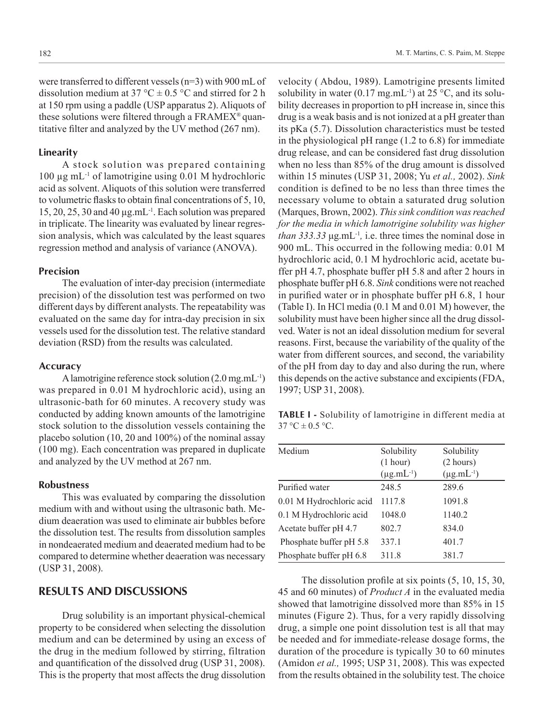were transferred to different vessels (n=3) with 900 mL of dissolution medium at 37 °C  $\pm$  0.5 °C and stirred for 2 h at 150 rpm using a paddle (USP apparatus 2). Aliquots of these solutions were filtered through a FRAMEX® quantitative filter and analyzed by the UV method (267 nm).

#### **Linearity**

A stock solution was prepared containing 100 µg mL-1 of lamotrigine using 0.01 M hydrochloric acid as solvent. Aliquots of this solution were transferred to volumetric flasks to obtain final concentrations of 5, 10, 15, 20, 25, 30 and 40  $\mu$ g.mL<sup>-1</sup>. Each solution was prepared in triplicate. The linearity was evaluated by linear regression analysis, which was calculated by the least squares regression method and analysis of variance (ANOVA).

## **Precision**

The evaluation of inter-day precision (intermediate precision) of the dissolution test was performed on two different days by different analysts. The repeatability was evaluated on the same day for intra-day precision in six vessels used for the dissolution test. The relative standard deviation (RSD) from the results was calculated.

#### **Accuracy**

A lamotrigine reference stock solution (2.0 mg.mL-1) was prepared in 0.01 M hydrochloric acid), using an ultrasonic-bath for 60 minutes. A recovery study was conducted by adding known amounts of the lamotrigine stock solution to the dissolution vessels containing the placebo solution (10, 20 and 100%) of the nominal assay (100 mg). Each concentration was prepared in duplicate and analyzed by the UV method at 267 nm.

## **Robustness**

This was evaluated by comparing the dissolution medium with and without using the ultrasonic bath. Medium deaeration was used to eliminate air bubbles before the dissolution test. The results from dissolution samples in nondeaerated medium and deaerated medium had to be compared to determine whether deaeration was necessary (USP 31, 2008).

## **RESULTS AND DISCUSSIONS**

Drug solubility is an important physical-chemical property to be considered when selecting the dissolution medium and can be determined by using an excess of the drug in the medium followed by stirring, filtration and quantification of the dissolved drug (USP 31, 2008). This is the property that most affects the drug dissolution

velocity ( Abdou, 1989). Lamotrigine presents limited solubility in water (0.17 mg.mL<sup>-1</sup>) at 25 °C, and its solubility decreases in proportion to pH increase in, since this drug is a weak basis and is not ionized at a pH greater than its pKa (5.7). Dissolution characteristics must be tested in the physiological pH range (1.2 to 6.8) for immediate drug release, and can be considered fast drug dissolution when no less than 85% of the drug amount is dissolved within 15 minutes (USP 31, 2008; Yu *et al.,* 2002). *Sink*  condition is defined to be no less than three times the necessary volume to obtain a saturated drug solution (Marques, Brown, 2002). *This sink condition was reached for the media in which lamotrigine solubility was higher than 333.33* μg.mL-1*,* i.e. three times the nominal dose in 900 mL. This occurred in the following media: 0.01 M hydrochloric acid, 0.1 M hydrochloric acid, acetate buffer pH 4.7, phosphate buffer pH 5.8 and after 2 hours in phosphate buffer pH 6.8. *Sink* conditions were not reached in purified water or in phosphate buffer pH 6.8, 1 hour (Table I). In HCl media (0.1 M and 0.01 M) however, the solubility must have been higher since all the drug dissolved. Water is not an ideal dissolution medium for several reasons. First, because the variability of the quality of the water from different sources, and second, the variability of the pH from day to day and also during the run, where this depends on the active substance and excipients (FDA, 1997; USP 31, 2008).

**TABLE I -** Solubility of lamotrigine in different media at  $37 °C \pm 0.5 °C$ .

| Medium                   | Solubility<br>(1 hour)<br>$(\mu g.mL^{-1})$ | Solubility<br>(2 hours)<br>$(\mu g.mL^{-1})$ |
|--------------------------|---------------------------------------------|----------------------------------------------|
| Purified water           | 248.5                                       | 289.6                                        |
| 0.01 M Hydrochloric acid | 1117.8                                      | 1091.8                                       |
| 0.1 M Hydrochloric acid  | 1048.0                                      | 1140.2                                       |
| Acetate buffer pH 4.7    | 802.7                                       | 834.0                                        |
| Phosphate buffer pH 5.8  | 337.1                                       | 401.7                                        |
| Phosphate buffer pH 6.8  | 311.8                                       | 381.7                                        |

The dissolution profile at six points (5, 10, 15, 30, 45 and 60 minutes) of *Product A* in the evaluated media showed that lamotrigine dissolved more than 85% in 15 minutes (Figure 2). Thus, for a very rapidly dissolving drug, a simple one point dissolution test is all that may be needed and for immediate-release dosage forms, the duration of the procedure is typically 30 to 60 minutes (Amidon *et al.,* 1995; USP 31, 2008). This was expected from the results obtained in the solubility test. The choice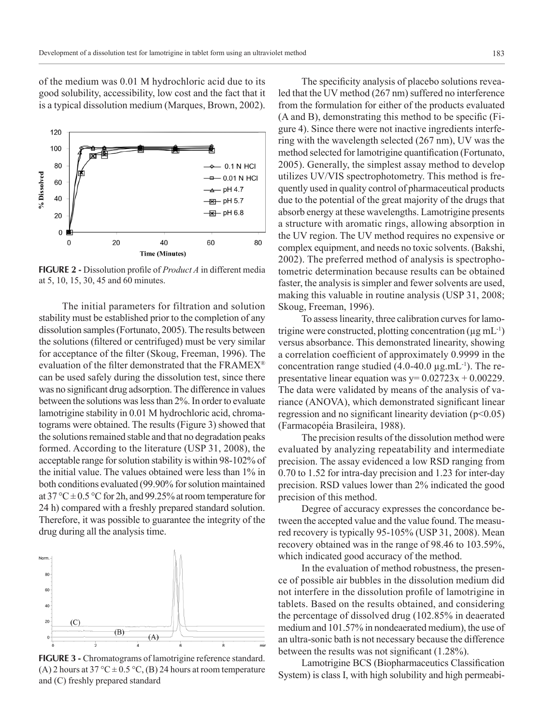of the medium was 0.01 M hydrochloric acid due to its good solubility, accessibility, low cost and the fact that it is a typical dissolution medium (Marques, Brown, 2002).



**FIGURE 2 -** Dissolution profile of *Product A* in different media at 5, 10, 15, 30, 45 and 60 minutes.

The initial parameters for filtration and solution stability must be established prior to the completion of any dissolution samples (Fortunato, 2005). The results between the solutions (filtered or centrifuged) must be very similar for acceptance of the filter (Skoug, Freeman, 1996). The evaluation of the filter demonstrated that the FRAMEX® can be used safely during the dissolution test, since there was no significant drug adsorption. The difference in values between the solutions was less than 2%. In order to evaluate lamotrigine stability in 0.01 M hydrochloric acid, chromatograms were obtained. The results (Figure 3) showed that the solutions remained stable and that no degradation peaks formed. According to the literature (USP 31, 2008), the acceptable range for solution stability is within 98-102% of the initial value. The values obtained were less than 1% in both conditions evaluated (99.90% for solution maintained at 37 °C  $\pm$  0.5 °C for 2h, and 99.25% at room temperature for 24 h) compared with a freshly prepared standard solution. Therefore, it was possible to guarantee the integrity of the drug during all the analysis time.



FIGURE 3 - Chromatograms of lamotrigine reference standard. (A) 2 hours at 37 °C  $\pm$  0.5 °C, (B) 24 hours at room temperature and (C) freshly prepared standard

The specificity analysis of placebo solutions revealed that the UV method (267 nm) suffered no interference from the formulation for either of the products evaluated (A and B), demonstrating this method to be specific (Figure 4). Since there were not inactive ingredients interfering with the wavelength selected (267 nm), UV was the method selected for lamotrigine quantification (Fortunato, 2005). Generally, the simplest assay method to develop utilizes UV/VIS spectrophotometry. This method is frequently used in quality control of pharmaceutical products due to the potential of the great majority of the drugs that absorb energy at these wavelengths. Lamotrigine presents a structure with aromatic rings, allowing absorption in the UV region. The UV method requires no expensive or complex equipment, and needs no toxic solvents. (Bakshi, 2002). The preferred method of analysis is spectrophotometric determination because results can be obtained faster, the analysis is simpler and fewer solvents are used, making this valuable in routine analysis (USP 31, 2008; Skoug, Freeman, 1996).

To assess linearity, three calibration curves for lamotrigine were constructed, plotting concentration  $(\mu g \, mL^{-1})$ versus absorbance. This demonstrated linearity, showing a correlation coefficient of approximately 0.9999 in the concentration range studied  $(4.0\n-40.0 \,\mu g.mL^{-1})$ . The representative linear equation was  $y=0.02723x + 0.00229$ . The data were validated by means of the analysis of variance (ANOVA), which demonstrated significant linear regression and no significant linearity deviation  $(p<0.05)$ (Farmacopéia Brasileira, 1988).

The precision results of the dissolution method were evaluated by analyzing repeatability and intermediate precision. The assay evidenced a low RSD ranging from 0.70 to 1.52 for intra-day precision and 1.23 for inter-day precision. RSD values lower than 2% indicated the good precision of this method.

Degree of accuracy expresses the concordance between the accepted value and the value found. The measured recovery is typically 95-105% (USP 31, 2008). Mean recovery obtained was in the range of 98.46 to 103.59%, which indicated good accuracy of the method.

In the evaluation of method robustness, the presence of possible air bubbles in the dissolution medium did not interfere in the dissolution profile of lamotrigine in tablets. Based on the results obtained, and considering the percentage of dissolved drug (102.85% in deaerated medium and 101.57% in nondeaerated medium), the use of an ultra-sonic bath is not necessary because the difference between the results was not significant (1.28%).

Lamotrigine BCS (Biopharmaceutics Classification System) is class I, with high solubility and high permeabi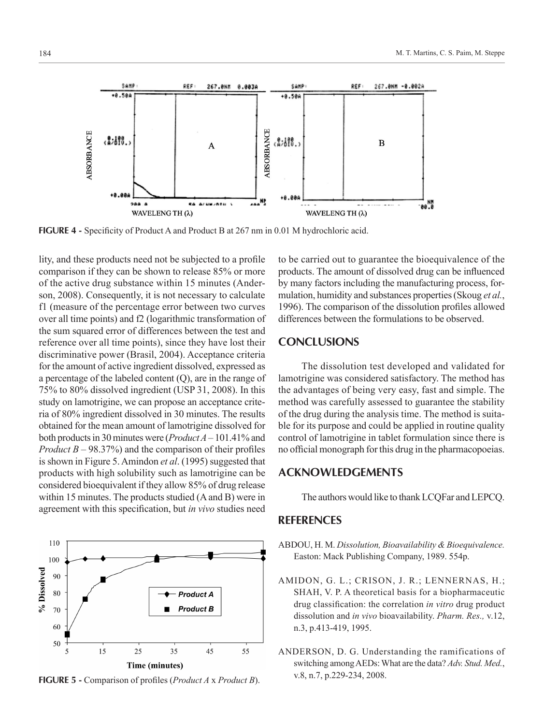**ABSORBANCE** ABSORBANCE  $3.100.$  $3.188.$  $\overline{B}$  $\overline{A}$  $+0.001$ Nļ 07082010 긃  $200$ e a WAVELENG TH (λ) WAVELENG TH (λ)

**FIGURE 4 -** Specificity of Product A and Product B at 267 nm in 0.01 M hydrochloric acid.

PEE

267.BNM

lity, and these products need not be subjected to a profile comparison if they can be shown to release 85% or more of the active drug substance within 15 minutes (Anderson, 2008). Consequently, it is not necessary to calculate f1 (measure of the percentage error between two curves over all time points) and f2 (logarithmic transformation of the sum squared error of differences between the test and reference over all time points), since they have lost their discriminative power (Brasil, 2004). Acceptance criteria for the amount of active ingredient dissolved, expressed as a percentage of the labeled content (Q), are in the range of 75% to 80% dissolved ingredient (USP 31, 2008). In this study on lamotrigine, we can propose an acceptance criteria of 80% ingredient dissolved in 30 minutes. The results obtained for the mean amount of lamotrigine dissolved for both products in 30 minutes were (*Product A* – 101.41% and *Product B* – 98.37%) and the comparison of their profiles is shown in Figure 5. Amindon *et al*. (1995) suggested that products with high solubility such as lamotrigine can be considered bioequivalent if they allow 85% of drug release within 15 minutes. The products studied (A and B) were in agreement with this specification, but *in vivo* studies need

#### % Dissolved 80 **Product A Product B** 70 60 50 15 5 25 35 45 55 Time (minutes)

**FIGURE 5 -** Comparison of profiles (*Product A* x *Product B*).

to be carried out to guarantee the bioequivalence of the products. The amount of dissolved drug can be influenced by many factors including the manufacturing process, formulation, humidity and substances properties (Skoug *et al.*, 1996). The comparison of the dissolution profiles allowed differences between the formulations to be observed.

## **CONCLUSIONS**

The dissolution test developed and validated for lamotrigine was considered satisfactory. The method has the advantages of being very easy, fast and simple. The method was carefully assessed to guarantee the stability of the drug during the analysis time. The method is suitable for its purpose and could be applied in routine quality control of lamotrigine in tablet formulation since there is no official monograph for this drug in the pharmacopoeias.

## **ACKNOWLEDGEMENTS**

The authors would like to thank LCQFar and LEPCQ.

## **REFERENCES**

- ABDOU, H. M. *Dissolution, Bioavailability & Bioequivalence.*  Easton: Mack Publishing Company, 1989. 554p.
- AMIDON, G. L.; CRISON, J. R.; LENNERNAS, H.; SHAH, V. P. A theoretical basis for a biopharmaceutic drug classification: the correlation *in vitro* drug product dissolution and *in vivo* bioavailability. *Pharm. Res.,* v.12, n.3, p.413-419, 1995.
- ANDERSON, D. G. Understanding the ramifications of switching among AEDs: What are the data? *Adv. Stud. Med.*, v.8, n.7, p.229-234, 2008.



110 100

90

SAME



SAMP

REF

267.0NM -0.002A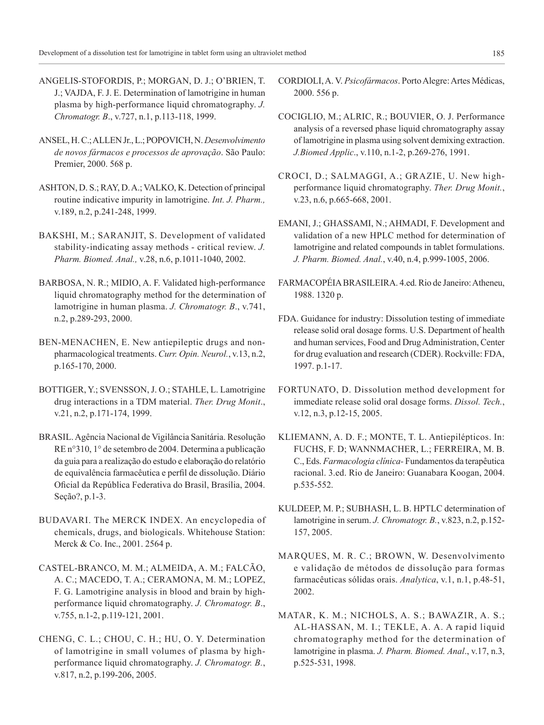ANGELIS-STOFORDIS, P.; MORGAN, D. J.; O'BRIEN, T. J.; VAJDA, F. J. E. Determination of lamotrigine in human plasma by high-performance liquid chromatography. *J. Chromatogr. B*., v.727, n.1, p.113-118, 1999.

- ANSEL, H. C.; ALLEN Jr., L.; POPOVICH, N. *Desenvolvimento de novos fármacos e processos de aprovação*. São Paulo: Premier, 2000. 568 p.
- ASHTON, D. S.; RAY, D. A.; VALKO, K. Detection of principal routine indicative impurity in lamotrigine. *Int. J. Pharm.,* v.189, n.2, p.241-248, 1999.
- BAKSHI, M.; SARANJIT, S. Development of validated stability-indicating assay methods - critical review. *J. Pharm. Biomed. Anal.,* v.28, n.6, p.1011-1040, 2002.
- BARBOSA, N. R.; MIDIO, A. F. Validated high-performance liquid chromatography method for the determination of lamotrigine in human plasma. *J. Chromatogr. B*., v.741, n.2, p.289-293, 2000.
- BEN-MENACHEN, E. New antiepileptic drugs and nonpharmacological treatments. *Curr. Opin. Neurol.*, v.13, n.2, p.165-170, 2000.
- BOTTIGER, Y.; SVENSSON, J. O.; STAHLE, L. Lamotrigine drug interactions in a TDM material. *Ther. Drug Monit*., v.21, n.2, p.171-174, 1999.
- BRASIL. Agência Nacional de Vigilância Sanitária. Resolução RE n°310, 1° de setembro de 2004. Determina a publicação da guia para a realização do estudo e elaboração do relatório de equivalência farmacêutica e perfil de dissolução. Diário Oficial da República Federativa do Brasil, Brasília, 2004. Seção?, p.1-3.
- BUDAVARI. The MERCK INDEX. An encyclopedia of chemicals, drugs, and biologicals. Whitehouse Station: Merck & Co. Inc., 2001. 2564 p.
- CASTEL-BRANCO, M. M.; ALMEIDA, A. M.; FALCÃO, A. C.; MACEDO, T. A.; CERAMONA, M. M.; LOPEZ, F. G. Lamotrigine analysis in blood and brain by highperformance liquid chromatography. *J. Chromatogr. B*., v.755, n.1-2, p.119-121, 2001.
- CHENG, C. L.; CHOU, C. H.; HU, O. Y. Determination of lamotrigine in small volumes of plasma by highperformance liquid chromatography. *J. Chromatogr. B.*, v.817, n.2, p.199-206, 2005.
- CORDIOLI, A. V. *Psicofármacos*. Porto Alegre: Artes Médicas, 2000. 556 p.
- COCIGLIO, M.; ALRIC, R.; BOUVIER, O. J. Performance analysis of a reversed phase liquid chromatography assay of lamotrigine in plasma using solvent demixing extraction. *J.Biomed Applic*., v.110, n.1-2, p.269-276, 1991.
- CROCI, D.; SALMAGGI, A.; GRAZIE, U. New highperformance liquid chromatography. *Ther. Drug Monit.*, v.23, n.6, p.665-668, 2001.
- EMANI, J.; GHASSAMI, N.; AHMADI, F. Development and validation of a new HPLC method for determination of lamotrigine and related compounds in tablet formulations. *J. Pharm. Biomed. Anal.*, v.40, n.4, p.999-1005, 2006.
- FARMACOPÉIA BRASILEIRA. 4.ed. Rio de Janeiro: Atheneu, 1988. 1320 p.
- FDA. Guidance for industry: Dissolution testing of immediate release solid oral dosage forms. U.S. Department of health and human services, Food and Drug Administration, Center for drug evaluation and research (CDER). Rockville: FDA, 1997. p.1-17.
- FORTUNATO, D. Dissolution method development for immediate release solid oral dosage forms. *Dissol. Tech.*, v.12, n.3, p.12-15, 2005.
- KLIEMANN, A. D. F.; MONTE, T. L. Antiepilépticos. In: FUCHS, F. D; WANNMACHER, L.; FERREIRA, M. B. C., Eds. *Farmacologia clínica-* Fundamentos da terapêutica racional. 3.ed. Rio de Janeiro: Guanabara Koogan, 2004. p.535-552.
- KULDEEP, M. P.; SUBHASH, L. B. HPTLC determination of lamotrigine in serum. *J. Chromatogr. B.*, v.823, n.2, p.152- 157, 2005.
- MARQUES, M. R. C.; BROWN, W. Desenvolvimento e validação de métodos de dissolução para formas farmacêuticas sólidas orais. *Analytica*, v.1, n.1, p.48-51, 2002.
- MATAR, K. M.; NICHOLS, A. S.; BAWAZIR, A. S.; AL-HASSAN, M. I.; TEKLE, A. A. A rapid liquid chromatography method for the determination of lamotrigine in plasma. *J. Pharm. Biomed. Anal*., v.17, n.3, p.525-531, 1998.